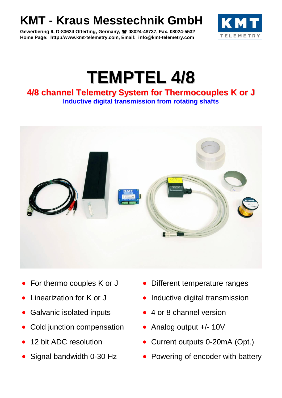## **KMT - Kraus Messtechnik GmbH**

**Gewerbering 9, D-83624 Otterfing, Germany, 08024-48737, Fax. 08024-5532 Home Page: http://www.kmt-telemetry.com, Email: info@kmt-telemetry.com**



## **TEMPTEL 4/8**

## **4/8 channel Telemetry System for Thermocouples K or J Inductive digital transmission from rotating shafts**



- 
- 
- Galvanic isolated inputs 4 or 8 channel version
- Cold junction compensation Analog output +/- 10V
- 
- 
- For thermo couples K or J Different temperature ranges
- Linearization for K or J value that Inductive digital transmission
	-
	-
- 12 bit ADC resolution Current outputs 0-20mA (Opt.)
- Signal bandwidth 0-30 Hz Powering of encoder with battery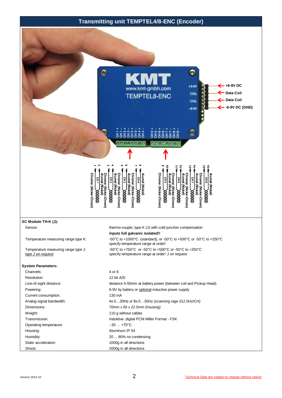## **Transmitting unit TEMPTEL4/8-ENC (Encoder)**

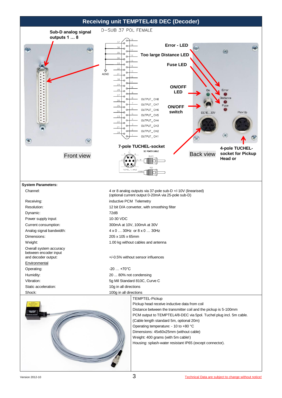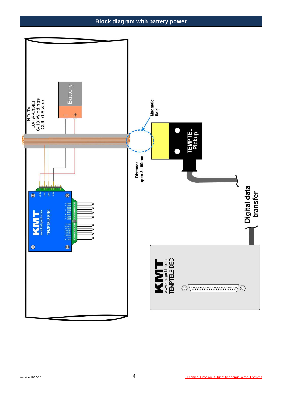